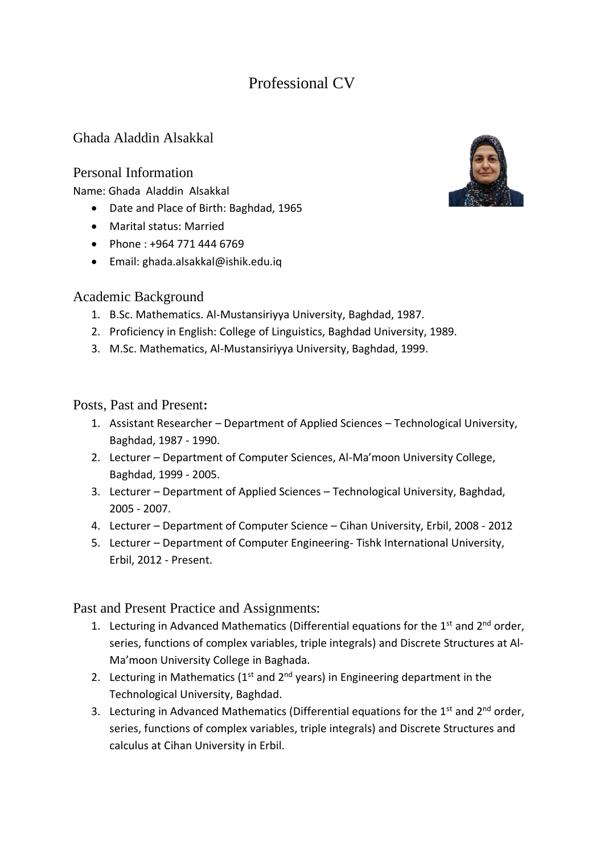# Professional CV

# Ghada Aladdin Alsakkal

#### Personal Information

Name: Ghada Aladdin Alsakkal

- Date and Place of Birth: Baghdad, 1965
- Marital status: Married
- Phone : +964 771 444 6769
- Email: ghada.alsakkal@ishik.edu.iq

## Academic Background

- 1. B.Sc. Mathematics. Al-Mustansiriyya University, Baghdad, 1987.
- 2. Proficiency in English: College of Linguistics, Baghdad University, 1989.
- 3. M.Sc. Mathematics, Al-Mustansiriyya University, Baghdad, 1999.

## Posts, Past and Present**:**

- 1. Assistant Researcher Department of Applied Sciences Technological University, Baghdad, 1987 - 1990.
- 2. Lecturer Department of Computer Sciences, Al-Ma'moon University College, Baghdad, 1999 - 2005.
- 3. Lecturer Department of Applied Sciences Technological University, Baghdad, 2005 - 2007.
- 4. Lecturer Department of Computer Science Cihan University, Erbil, 2008 2012
- 5. Lecturer Department of Computer Engineering- Tishk International University, Erbil, 2012 - Present.

Past and Present Practice and Assignments:

- 1. Lecturing in Advanced Mathematics (Differential equations for the  $1<sup>st</sup>$  and  $2<sup>nd</sup>$  order, series, functions of complex variables, triple integrals) and Discrete Structures at Al-Ma'moon University College in Baghada.
- 2. Lecturing in Mathematics  $(1^{st}$  and  $2^{nd}$  years) in Engineering department in the Technological University, Baghdad.
- 3. Lecturing in Advanced Mathematics (Differential equations for the  $1<sup>st</sup>$  and  $2<sup>nd</sup>$  order, series, functions of complex variables, triple integrals) and Discrete Structures and calculus at Cihan University in Erbil.